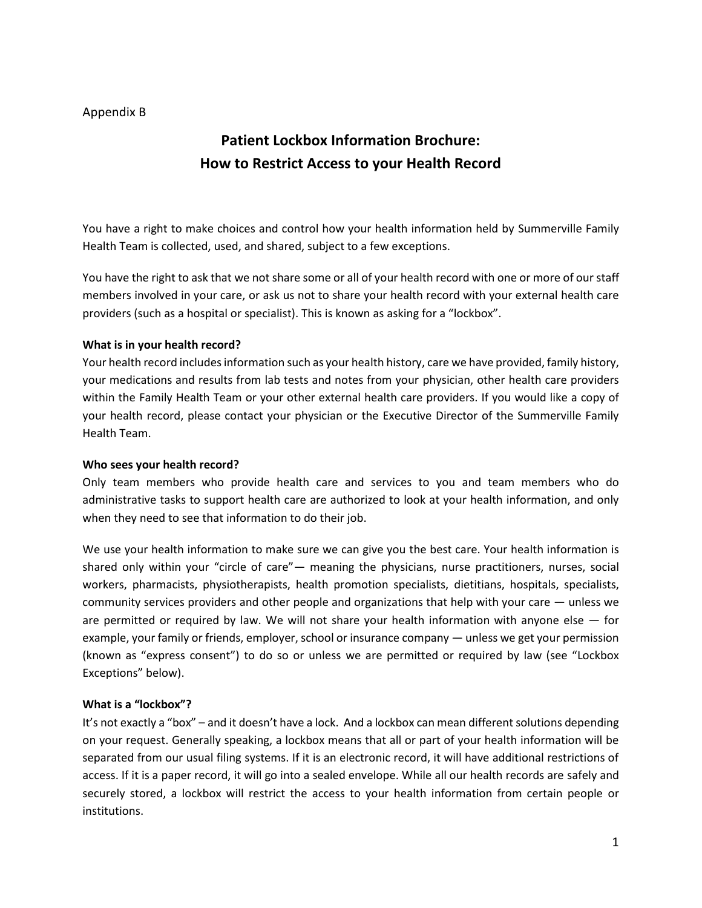# Appendix B

# **Patient Lockbox Information Brochure: How to Restrict Access to your Health Record**

You have a right to make choices and control how your health information held by Summerville Family Health Team is collected, used, and shared, subject to a few exceptions.

You have the right to ask that we not share some or all of your health record with one or more of our staff members involved in your care, or ask us not to share your health record with your external health care providers (such as a hospital or specialist). This is known as asking for a "lockbox".

#### **What is in your health record?**

Your health record includes information such as your health history, care we have provided, family history, your medications and results from lab tests and notes from your physician, other health care providers within the Family Health Team or your other external health care providers. If you would like a copy of your health record, please contact your physician or the Executive Director of the Summerville Family Health Team.

#### **Who sees your health record?**

Only team members who provide health care and services to you and team members who do administrative tasks to support health care are authorized to look at your health information, and only when they need to see that information to do their job.

We use your health information to make sure we can give you the best care. Your health information is shared only within your "circle of care"— meaning the physicians, nurse practitioners, nurses, social workers, pharmacists, physiotherapists, health promotion specialists, dietitians, hospitals, specialists, community services providers and other people and organizations that help with your care  $-$  unless we are permitted or required by law. We will not share your health information with anyone else  $-$  for example, your family or friends, employer, school or insurance company — unless we get your permission (known as "express consent") to do so or unless we are permitted or required by law (see "Lockbox Exceptions" below).

#### **What is a "lockbox"?**

It's not exactly a "box" – and it doesn't have a lock. And a lockbox can mean different solutions depending on your request. Generally speaking, a lockbox means that all or part of your health information will be separated from our usual filing systems. If it is an electronic record, it will have additional restrictions of access. If it is a paper record, it will go into a sealed envelope. While all our health records are safely and securely stored, a lockbox will restrict the access to your health information from certain people or institutions.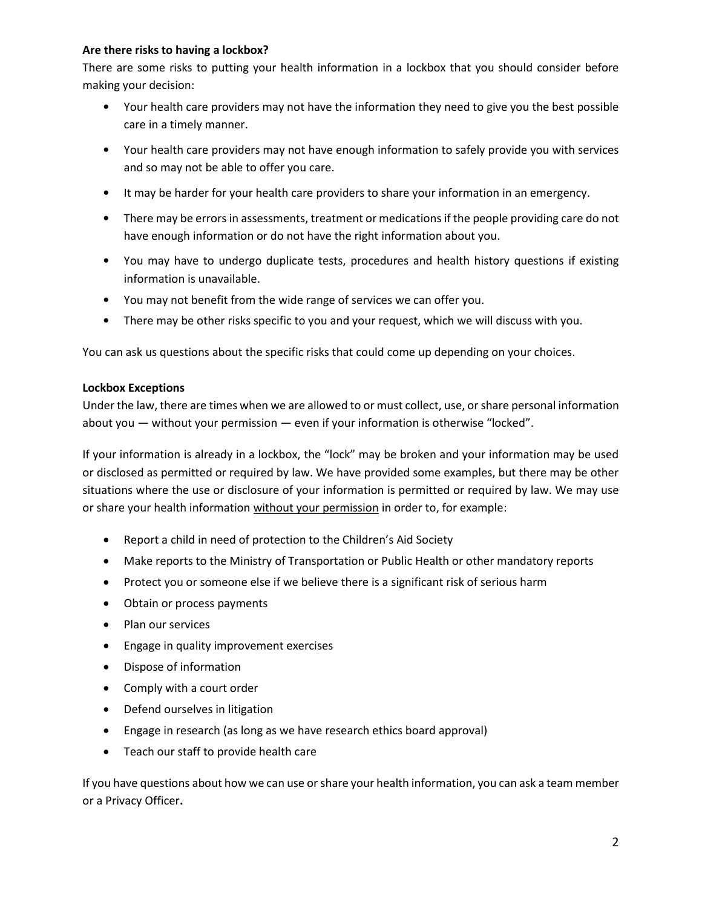### **Are there risks to having a lockbox?**

There are some risks to putting your health information in a lockbox that you should consider before making your decision:

- Your health care providers may not have the information they need to give you the best possible care in a timely manner.
- Your health care providers may not have enough information to safely provide you with services and so may not be able to offer you care.
- It may be harder for your health care providers to share your information in an emergency.
- There may be errors in assessments, treatment or medications if the people providing care do not have enough information or do not have the right information about you.
- You may have to undergo duplicate tests, procedures and health history questions if existing information is unavailable.
- You may not benefit from the wide range of services we can offer you.
- There may be other risks specific to you and your request, which we will discuss with you.

You can ask us questions about the specific risks that could come up depending on your choices.

#### **Lockbox Exceptions**

Under the law, there are times when we are allowed to or must collect, use, or share personal information about you — without your permission — even if your information is otherwise "locked".

If your information is already in a lockbox, the "lock" may be broken and your information may be used or disclosed as permitted or required by law. We have provided some examples, but there may be other situations where the use or disclosure of your information is permitted or required by law. We may use or share your health information without your permission in order to, for example:

- Report a child in need of protection to the Children's Aid Society
- Make reports to the Ministry of Transportation or Public Health or other mandatory reports
- Protect you or someone else if we believe there is a significant risk of serious harm
- Obtain or process payments
- Plan our services
- Engage in quality improvement exercises
- Dispose of information
- Comply with a court order
- Defend ourselves in litigation
- Engage in research (as long as we have research ethics board approval)
- Teach our staff to provide health care

If you have questions about how we can use or share your health information, you can ask a team member or a Privacy Officer**.**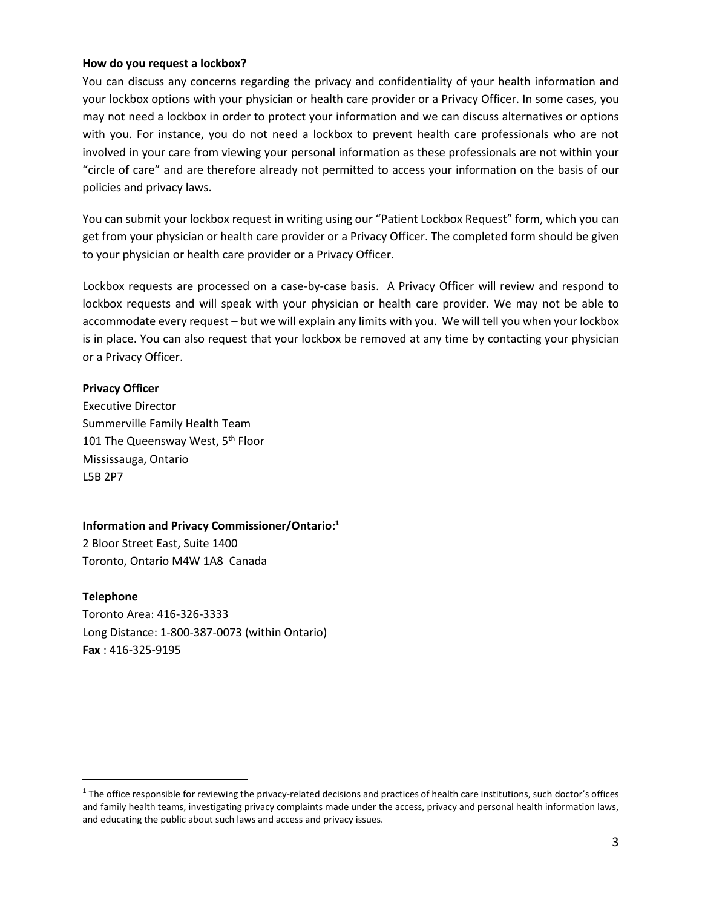#### **How do you request a lockbox?**

You can discuss any concerns regarding the privacy and confidentiality of your health information and your lockbox options with your physician or health care provider or a Privacy Officer. In some cases, you may not need a lockbox in order to protect your information and we can discuss alternatives or options with you. For instance, you do not need a lockbox to prevent health care professionals who are not involved in your care from viewing your personal information as these professionals are not within your "circle of care" and are therefore already not permitted to access your information on the basis of our policies and privacy laws.

You can submit your lockbox request in writing using our "Patient Lockbox Request" form, which you can get from your physician or health care provider or a Privacy Officer. The completed form should be given to your physician or health care provider or a Privacy Officer.

Lockbox requests are processed on a case-by-case basis. A Privacy Officer will review and respond to lockbox requests and will speak with your physician or health care provider. We may not be able to accommodate every request – but we will explain any limits with you. We will tell you when your lockbox is in place. You can also request that your lockbox be removed at any time by contacting your physician or a Privacy Officer.

#### **Privacy Officer**

Executive Director Summerville Family Health Team 101 The Queensway West, 5<sup>th</sup> Floor Mississauga, Ontario L5B 2P7

## **Information and Privacy Commissioner/Ontario: 1**

2 Bloor Street East, Suite 1400 Toronto, Ontario M4W 1A8 Canada

#### **Telephone**

 $\overline{a}$ 

Toronto Area: 416-326-3333 Long Distance: 1-800-387-0073 (within Ontario) **Fax** : 416-325-9195

 $1$  The office responsible for reviewing the privacy-related decisions and practices of health care institutions, such doctor's offices and family health teams, investigating privacy complaints made under the access, privacy and personal health information laws, and educating the public about such laws and access and privacy issues.